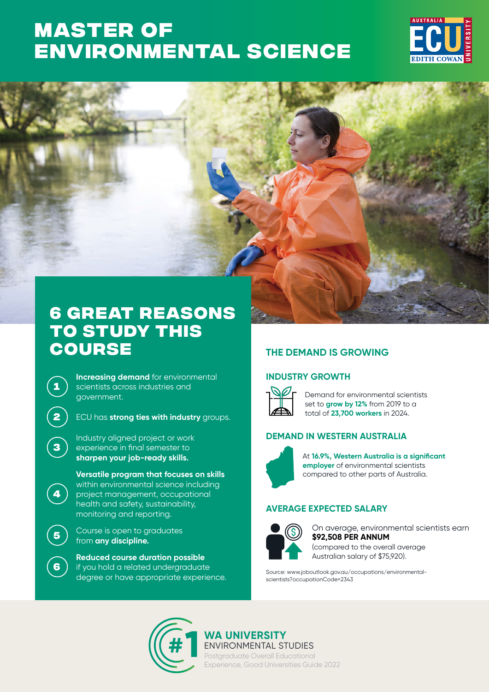# **Master of [Environmental Science](https://www.ecu.edu.au/degrees/courses/master-of-environmental-science)**





# **6 great reasons to study this course**

**Increasing demand** for environmental scientists across industries and government.

**1**

**3**

**4**

**6**

**2 )** ECU has **strong ties with industry** groups.

Industry aligned project or work experience in final semester to **sharpen your job-ready skills.** 

**Versatile program that focuses on skills**  within environmental science including project management, occupational health and safety, sustainability, monitoring and reporting.

**<sup>5</sup>** Course is open to graduates from **any discipline.**

**Reduced course duration possible** if you hold a related undergraduate degree or have appropriate experience.

## **THE DEMAND IS GROWING**

### **INDUSTRY GROWTH**



Demand for environmental scientists set to **grow by 12%** from 2019 to a total of **23,700 workers** in 2024.

### **DEMAND IN WESTERN AUSTRALIA**



At **16.9%, Western Australia is a significant employer** of environmental scientists compared to other parts of Australia.

### **AVERAGE EXPECTED SALARY**



**\$92,508 PER ANNUM** On average, environmental scientists earn (compared to the overall average Australian salary of \$75,920).

Source: www.joboutlook.gov.au/occupations/environmentalscientists?occupationCode=2343



### **WA UNIVERSITY** ENVIRONMENTAL STUDIES

Postgraduate Overall Educational Experience, Good Universities Guide 2022